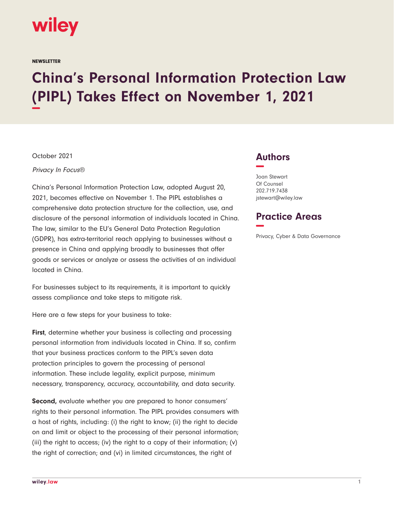

**NEWSLETTER** 

## **China's Personal Information Protection Law (PIPL) Takes Effect on November 1, 2021 −**

October 2021

Privacy In Focus®

China's Personal Information Protection Law, adopted August 20, 2021, becomes effective on November 1. The PIPL establishes a comprehensive data protection structure for the collection, use, and disclosure of the personal information of individuals located in China. The law, similar to the EU's General Data Protection Regulation (GDPR), has extra-territorial reach applying to businesses without a presence in China and applying broadly to businesses that offer goods or services or analyze or assess the activities of an individual located in China.

For businesses subject to its requirements, it is important to quickly assess compliance and take steps to mitigate risk.

Here are a few steps for your business to take:

**First**, determine whether your business is collecting and processing personal information from individuals located in China. If so, confirm that your business practices conform to the PIPL's seven data protection principles to govern the processing of personal information. These include legality, explicit purpose, minimum necessary, transparency, accuracy, accountability, and data security.

**Second,** evaluate whether you are prepared to honor consumers' rights to their personal information. The PIPL provides consumers with a host of rights, including: (i) the right to know; (ii) the right to decide on and limit or object to the processing of their personal information; (iii) the right to access; (iv) the right to a copy of their information; (v) the right of correction; and (vi) in limited circumstances, the right of

## **Authors −**

Joan Stewart Of Counsel 202.719.7438 jstewart@wiley.law

## **Practice Areas −**

Privacy, Cyber & Data Governance